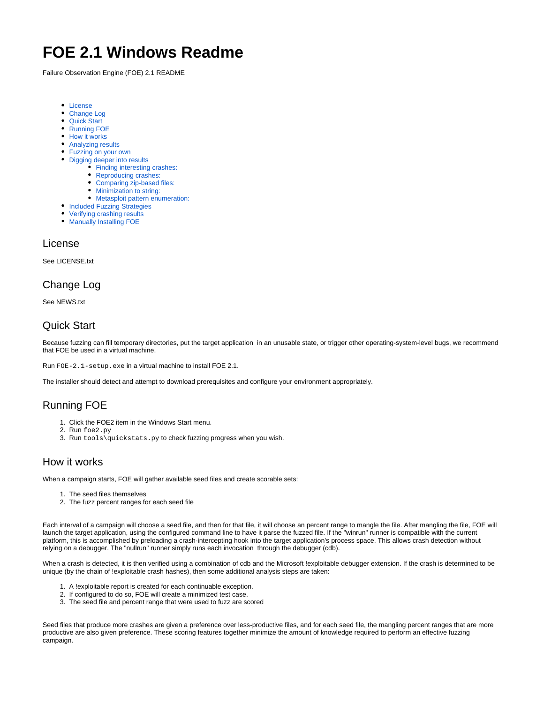# **FOE 2.1 Windows Readme**

Failure Observation Engine (FOE) 2.1 README

- [License](#page-0-0)
- [Change Log](#page-0-1)
- [Quick Start](#page-0-2)
- [Running FOE](#page-0-3)
- [How it works](#page-0-4)
- [Analyzing results](#page-0-5)
- [Fuzzing on your own](#page-1-0)
- [Digging deeper into results](#page-2-0)
	- [Finding interesting crashes:](#page-2-1)
		- [Reproducing crashes:](#page-2-2)
		- [Comparing zip-based files:](#page-2-3)
		- [Minimization to string:](#page-2-4)
		- [Metasploit pattern enumeration:](#page-2-5)
- [Included Fuzzing Strategies](#page-3-0)
- [Verifying crashing results](#page-3-1)
- [Manually Installing FOE](#page-3-2)

#### <span id="page-0-0"></span>License

See LICENSE.txt

### <span id="page-0-1"></span>Change Log

See NEWS.txt

### <span id="page-0-2"></span>Quick Start

Because fuzzing can fill temporary directories, put the target application in an unusable state, or trigger other operating-system-level bugs, we recommend that FOE be used in a virtual machine.

Run FOE-2.1-setup.exe in a virtual machine to install FOE 2.1.

The installer should detect and attempt to download prerequisites and configure your environment appropriately.

# <span id="page-0-3"></span>Running FOE

- 1. Click the FOE2 item in the Windows Start menu.
- 2. Run foe2.py
- 3. Run tools\quickstats.py to check fuzzing progress when you wish.

### <span id="page-0-4"></span>How it works

When a campaign starts, FOE will gather available seed files and create scorable sets:

- 1. The seed files themselves
- 2. The fuzz percent ranges for each seed file

Each interval of a campaign will choose a seed file, and then for that file, it will choose an percent range to mangle the file. After mangling the file, FOE will launch the target application, using the configured command line to have it parse the fuzzed file. If the "winrun" runner is compatible with the current platform, this is accomplished by preloading a crash-intercepting hook into the target application's process space. This allows crash detection without relying on a debugger. The "nullrun" runner simply runs each invocation through the debugger (cdb).

When a crash is detected, it is then verified using a combination of cdb and the Microsoft !exploitable debugger extension. If the crash is determined to be unique (by the chain of !exploitable crash hashes), then some additional analysis steps are taken:

- 1. A !exploitable report is created for each continuable exception.
- 2. If configured to do so, FOE will create a minimized test case.
- 3. The seed file and percent range that were used to fuzz are scored

<span id="page-0-5"></span>Seed files that produce more crashes are given a preference over less-productive files, and for each seed file, the mangling percent ranges that are more productive are also given preference. These scoring features together minimize the amount of knowledge required to perform an effective fuzzing campaign.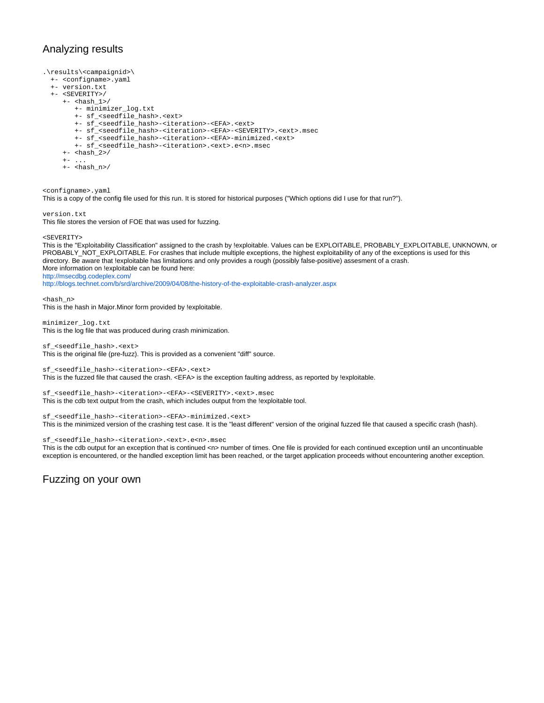### Analyzing results

```
.\results\<campaignid>\
  +- <configname>.yaml
  +- version.txt
  +- <SEVERITY>/
    +- <hash 1>/
        +- minimizer_log.txt
        +- sf_<seedfile_hash>.<ext>
        +- sf_<seedfile_hash>-<iteration>-<EFA>.<ext>
        +- sf_<seedfile_hash>-<iteration>-<EFA>-<SEVERITY>.<ext>.msec
        +- sf_<seedfile_hash>-<iteration>-<EFA>-minimized.<ext>
 +- sf_<seedfile_hash>-<iteration>.<ext>.e<n>.msec
 +- <hash_2>/
+ - ...
 +- <hash_n>/
```
<configname>.yaml

This is a copy of the config file used for this run. It is stored for historical purposes ("Which options did I use for that run?").

version.txt This file stores the version of FOE that was used for fuzzing.

<SEVERITY>

This is the "Exploitability Classification" assigned to the crash by !exploitable. Values can be EXPLOITABLE, PROBABLY\_EXPLOITABLE, UNKNOWN, or PROBABLY\_NOT\_EXPLOITABLE. For crashes that include multiple exceptions, the highest exploitability of any of the exceptions is used for this directory. Be aware that !exploitable has limitations and only provides a rough (possibly false-positive) assesment of a crash. More information on !exploitable can be found here: <http://msecdbg.codeplex.com/> <http://blogs.technet.com/b/srd/archive/2009/04/08/the-history-of-the-exploitable-crash-analyzer.aspx>

<hash\_n> This is the hash in Major.Minor form provided by !exploitable.

minimizer\_log.txt This is the log file that was produced during crash minimization.

sf\_<seedfile\_hash>.<ext> This is the original file (pre-fuzz). This is provided as a convenient "diff" source.

sf\_<seedfile\_hash>-<iteration>-<EFA>.<ext> This is the fuzzed file that caused the crash. <EFA> is the exception faulting address, as reported by !exploitable.

sf\_<seedfile\_hash>-<iteration>-<EFA>-<SEVERITY>.<ext>.msec This is the cdb text output from the crash, which includes output from the !exploitable tool.

sf\_<seedfile\_hash>-<iteration>-<EFA>-minimized.<ext> This is the minimized version of the crashing test case. It is the "least different" version of the original fuzzed file that caused a specific crash (hash).

sf\_<seedfile\_hash>-<iteration>.<ext>.e<n>.msec

This is the cdb output for an exception that is continued <n> number of times. One file is provided for each continued exception until an uncontinuable exception is encountered, or the handled exception limit has been reached, or the target application proceeds without encountering another exception.

<span id="page-1-0"></span>Fuzzing on your own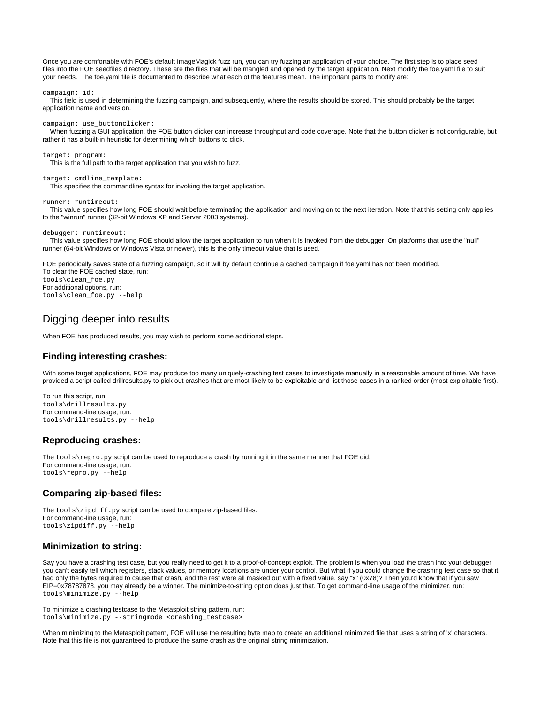Once you are comfortable with FOE's default ImageMagick fuzz run, you can try fuzzing an application of your choice. The first step is to place seed files into the FOE seedfiles directory. These are the files that will be mangled and opened by the target application. Next modify the foe.yaml file to suit your needs. The foe.yaml file is documented to describe what each of the features mean. The important parts to modify are:

campaign: id:

 This field is used in determining the fuzzing campaign, and subsequently, where the results should be stored. This should probably be the target application name and version.

campaign: use\_buttonclicker:

When fuzzing a GUI application, the FOE button clicker can increase throughput and code coverage. Note that the button clicker is not configurable, but rather it has a built-in heuristic for determining which buttons to click.

target: program: This is the full path to the target application that you wish to fuzz. target: cmdline template:

This specifies the commandline syntax for invoking the target application.

runner: runtimeout:

 This value specifies how long FOE should wait before terminating the application and moving on to the next iteration. Note that this setting only applies to the "winrun" runner (32-bit Windows XP and Server 2003 systems).

debugger: runtimeout:

 This value specifies how long FOE should allow the target application to run when it is invoked from the debugger. On platforms that use the "null" runner (64-bit Windows or Windows Vista or newer), this is the only timeout value that is used.

FOE periodically saves state of a fuzzing campaign, so it will by default continue a cached campaign if foe.yaml has not been modified.

To clear the FOE cached state, run: tools\clean\_foe.py For additional options, run: tools\clean\_foe.py --help

### <span id="page-2-0"></span>Digging deeper into results

When FOE has produced results, you may wish to perform some additional steps.

#### <span id="page-2-1"></span>**Finding interesting crashes:**

With some target applications, FOE may produce too many uniquely-crashing test cases to investigate manually in a reasonable amount of time. We have provided a script called drillresults.py to pick out crashes that are most likely to be exploitable and list those cases in a ranked order (most exploitable first).

To run this script, run: tools\drillresults.py For command-line usage, run: tools\drillresults.py --help

#### <span id="page-2-2"></span>**Reproducing crashes:**

The tools\repro.py script can be used to reproduce a crash by running it in the same manner that FOE did. For command-line usage, run: tools\repro.py --help

#### <span id="page-2-3"></span>**Comparing zip-based files:**

The tools\zipdiff.py script can be used to compare zip-based files. For command-line usage, run: tools\zipdiff.py --help

#### <span id="page-2-4"></span>**Minimization to string:**

Say you have a crashing test case, but you really need to get it to a proof-of-concept exploit. The problem is when you load the crash into your debugger you can't easily tell which registers, stack values, or memory locations are under your control. But what if you could change the crashing test case so that it had only the bytes required to cause that crash, and the rest were all masked out with a fixed value, say "x" (0x78)? Then you'd know that if you saw EIP=0x78787878, you may already be a winner. The minimize-to-string option does just that. To get command-line usage of the minimizer, run: tools\minimize.py --help

To minimize a crashing testcase to the Metasploit string pattern, run: tools\minimize.py --stringmode <crashing\_testcase>

<span id="page-2-5"></span>When minimizing to the Metasploit pattern, FOE will use the resulting byte map to create an additional minimized file that uses a string of 'x' characters. Note that this file is not guaranteed to produce the same crash as the original string minimization.